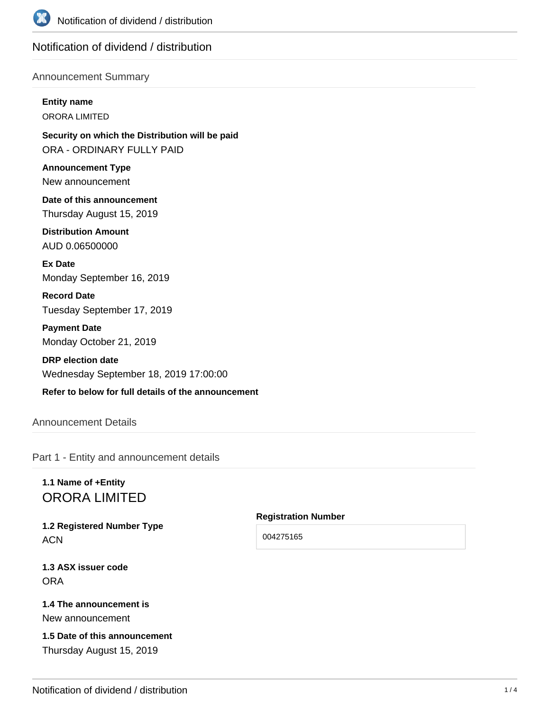

# Notification of dividend / distribution

#### Announcement Summary

### **Entity name**

ORORA LIMITED

**Security on which the Distribution will be paid** ORA - ORDINARY FULLY PAID

**Announcement Type** New announcement

**Date of this announcement** Thursday August 15, 2019

**Distribution Amount** AUD 0.06500000

**Ex Date** Monday September 16, 2019

**Record Date** Tuesday September 17, 2019

**Payment Date** Monday October 21, 2019

**DRP election date** Wednesday September 18, 2019 17:00:00

### **Refer to below for full details of the announcement**

# Announcement Details

Part 1 - Entity and announcement details

# **1.1 Name of +Entity** ORORA LIMITED

**1.2 Registered Number Type ACN** 

**Registration Number** 004275165

**1.3 ASX issuer code** ORA

# **1.4 The announcement is**

New announcement

# **1.5 Date of this announcement** Thursday August 15, 2019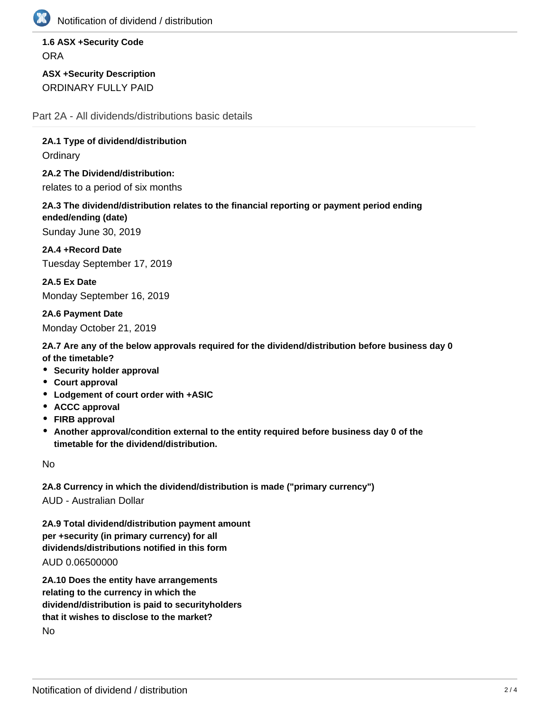

Notification of dividend / distribution

# **1.6 ASX +Security Code ORA**

**ASX +Security Description** ORDINARY FULLY PAID

Part 2A - All dividends/distributions basic details

**2A.1 Type of dividend/distribution**

**Ordinary** 

**2A.2 The Dividend/distribution:** relates to a period of six months

**2A.3 The dividend/distribution relates to the financial reporting or payment period ending ended/ending (date)**

Sunday June 30, 2019

**2A.4 +Record Date** Tuesday September 17, 2019

**2A.5 Ex Date** Monday September 16, 2019

**2A.6 Payment Date** Monday October 21, 2019

**2A.7 Are any of the below approvals required for the dividend/distribution before business day 0 of the timetable?**

- **Security holder approval**
- **Court approval**
- **Lodgement of court order with +ASIC**
- **ACCC approval**
- **FIRB approval**
- **Another approval/condition external to the entity required before business day 0 of the timetable for the dividend/distribution.**

No

**2A.8 Currency in which the dividend/distribution is made ("primary currency")** AUD - Australian Dollar

**2A.9 Total dividend/distribution payment amount per +security (in primary currency) for all dividends/distributions notified in this form** AUD 0.06500000

**2A.10 Does the entity have arrangements relating to the currency in which the dividend/distribution is paid to securityholders that it wishes to disclose to the market?** No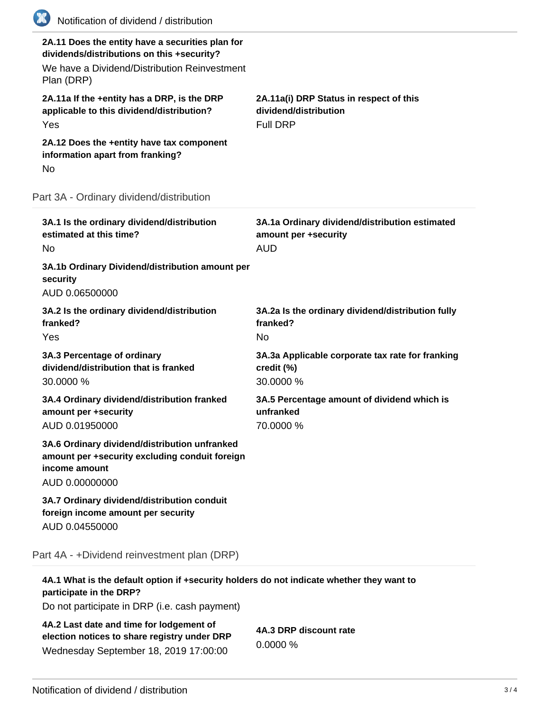| (K) | Notification of dividend / distribution                                                                                                                      |                                                                                      |
|-----|--------------------------------------------------------------------------------------------------------------------------------------------------------------|--------------------------------------------------------------------------------------|
|     | 2A.11 Does the entity have a securities plan for<br>dividends/distributions on this +security?<br>We have a Dividend/Distribution Reinvestment<br>Plan (DRP) |                                                                                      |
|     | 2A.11a If the +entity has a DRP, is the DRP<br>applicable to this dividend/distribution?<br>Yes                                                              | 2A.11a(i) DRP Status in respect of this<br>dividend/distribution<br><b>Full DRP</b>  |
| No  | 2A.12 Does the +entity have tax component<br>information apart from franking?                                                                                |                                                                                      |
|     | Part 3A - Ordinary dividend/distribution                                                                                                                     |                                                                                      |
| No  | 3A.1 Is the ordinary dividend/distribution<br>estimated at this time?                                                                                        | 3A.1a Ordinary dividend/distribution estimated<br>amount per +security<br><b>AUD</b> |
|     | 3A.1b Ordinary Dividend/distribution amount per<br>security<br>AUD 0.06500000                                                                                |                                                                                      |
|     | 3A.2 Is the ordinary dividend/distribution<br>franked?<br>Yes                                                                                                | 3A.2a Is the ordinary dividend/distribution fully<br>franked?<br><b>No</b>           |
|     | 3A.3 Percentage of ordinary<br>dividend/distribution that is franked<br>30.0000 %                                                                            | 3A.3a Applicable corporate tax rate for franking<br>credit (%)<br>30.0000 %          |
|     | 3A.4 Ordinary dividend/distribution franked<br>amount per +security<br>AUD 0.01950000                                                                        | 3A.5 Percentage amount of dividend which is<br>unfranked<br>70.0000 %                |
|     | 3A.6 Ordinary dividend/distribution unfranked<br>amount per +security excluding conduit foreign<br>income amount<br>AUD 0.00000000                           |                                                                                      |
|     | 3A.7 Ordinary dividend/distribution conduit<br>foreign income amount per security<br>AUD 0.04550000                                                          |                                                                                      |
|     | Part 4A - +Dividend reinvestment plan (DRP)                                                                                                                  |                                                                                      |

**4A.1 What is the default option if +security holders do not indicate whether they want to participate in the DRP?** Do not participate in DRP (i.e. cash payment) **4A.2 Last date and time for lodgement of**

**election notices to share registry under DRP** Wednesday September 18, 2019 17:00:00

**4A.3 DRP discount rate** 0.0000 %